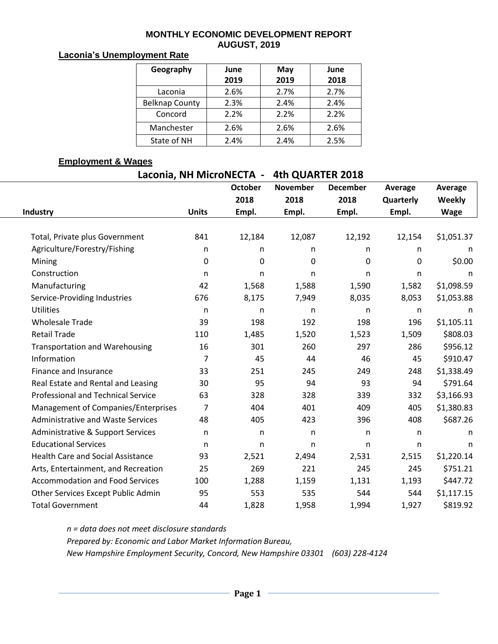#### **MONTHLY ECONOMIC DEVELOPMENT REPORT AUGUST, 2019**

### **Laconia's Unemployment Rate**

| Geography             | June<br>2019 | May<br>2019 | June<br>2018 |
|-----------------------|--------------|-------------|--------------|
| Laconia               | 2.6%         | 2.7%        | 2.7%         |
| <b>Belknap County</b> | 2.3%         | 2.4%        | 2.4%         |
| Concord               | 2.2%         | 2.2%        | 2.2%         |
| Manchester            | 2.6%         | 2.6%        | 2.6%         |
| State of NH           | 2.4%         | 2.4%        | 2.5%         |

#### **Employment & Wages**

| Laconia, NH MicroNECTA - | 4th QUARTER 2018 |
|--------------------------|------------------|
|--------------------------|------------------|

|                                           |                | <b>October</b> | <b>November</b> | <b>December</b> | Average          | Average       |  |
|-------------------------------------------|----------------|----------------|-----------------|-----------------|------------------|---------------|--|
|                                           |                | 2018           | 2018            | 2018            | <b>Quarterly</b> | <b>Weekly</b> |  |
| Industry                                  | <b>Units</b>   | Empl.          | Empl.           | Empl.           | Empl.            | <b>Wage</b>   |  |
|                                           |                |                |                 |                 |                  |               |  |
| Total, Private plus Government            | 841            | 12,184         | 12,087          | 12,192          | 12,154           | \$1,051.37    |  |
| Agriculture/Forestry/Fishing              | n              | n.             | n               | n.              | n                | n             |  |
| Mining                                    | $\pmb{0}$      | $\mathbf 0$    | 0               | 0               | 0                | \$0.00        |  |
| Construction                              | n              | n              | n               | n               | n                | n             |  |
| Manufacturing                             | 42             | 1,568          | 1,588           | 1,590           | 1,582            | \$1,098.59    |  |
| Service-Providing Industries              | 676            | 8,175          | 7,949           | 8,035           | 8,053            | \$1,053.88    |  |
| <b>Utilities</b>                          | n              | n              | n               | n               | n                | n             |  |
| <b>Wholesale Trade</b>                    | 39             | 198            | 192             | 198             | 196              | \$1,105.11    |  |
| <b>Retail Trade</b>                       | 110            | 1,485          | 1,520           | 1,523           | 1,509            | \$808.03      |  |
| <b>Transportation and Warehousing</b>     | 16             | 301            | 260             | 297             | 286              | \$956.12      |  |
| Information                               | $\overline{7}$ | 45             | 44              | 46              | 45               | \$910.47      |  |
| Finance and Insurance                     | 33             | 251            | 245             | 249             | 248              | \$1,338.49    |  |
| Real Estate and Rental and Leasing        | 30             | 95             | 94              | 93              | 94               | \$791.64      |  |
| <b>Professional and Technical Service</b> | 63             | 328            | 328             | 339             | 332              | \$3,166.93    |  |
| Management of Companies/Enterprises       | 7              | 404            | 401             | 409             | 405              | \$1,380.83    |  |
| <b>Administrative and Waste Services</b>  | 48             | 405            | 423             | 396             | 408              | \$687.26      |  |
| Administrative & Support Services         | n              | n              | n               | n               | n                | n.            |  |
| <b>Educational Services</b>               | n              | n              | n               | n               | n                | n             |  |
| <b>Health Care and Social Assistance</b>  | 93             | 2,521          | 2,494           | 2,531           | 2,515            | \$1,220.14    |  |
| Arts, Entertainment, and Recreation       | 25             | 269            | 221             | 245             | 245              | \$751.21      |  |
| <b>Accommodation and Food Services</b>    | 100            | 1,288          | 1,159           | 1,131           | 1,193            | \$447.72      |  |
| Other Services Except Public Admin        | 95             | 553            | 535             | 544             | 544              | \$1,117.15    |  |
| <b>Total Government</b>                   | 44             | 1,828          | 1,958           | 1,994           | 1,927            | \$819.92      |  |

*n = data does not meet disclosure standards*

*Prepared by: Economic and Labor Market Information Bureau,* 

*New Hampshire Employment Security, Concord, New Hampshire 03301 (603) 228-4124*